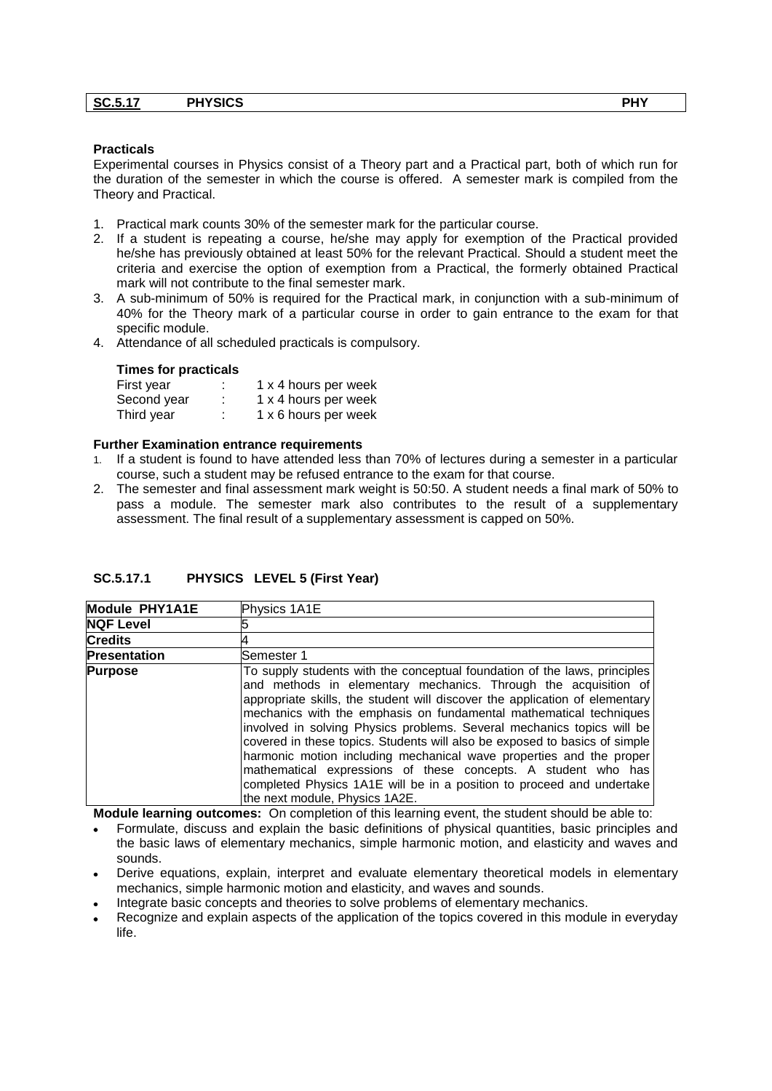| <b>SC.5.17</b> | <b>PHYSICS</b> | <b>PHY</b> |  |
|----------------|----------------|------------|--|
|                |                |            |  |

#### **Practicals**

Experimental courses in Physics consist of a Theory part and a Practical part, both of which run for the duration of the semester in which the course is offered. A semester mark is compiled from the Theory and Practical.

- 1. Practical mark counts 30% of the semester mark for the particular course.
- 2. If a student is repeating a course, he/she may apply for exemption of the Practical provided he/she has previously obtained at least 50% for the relevant Practical. Should a student meet the criteria and exercise the option of exemption from a Practical, the formerly obtained Practical mark will not contribute to the final semester mark.
- 3. A sub-minimum of 50% is required for the Practical mark, in conjunction with a sub-minimum of 40% for the Theory mark of a particular course in order to gain entrance to the exam for that specific module.
- 4. Attendance of all scheduled practicals is compulsory.

#### **Times for practicals**

| First year  | ٠<br>٠ | 1 x 4 hours per week |
|-------------|--------|----------------------|
| Second year | ٠<br>٠ | 1 x 4 hours per week |
| Third year  | ٠<br>٠ | 1 x 6 hours per week |

#### **Further Examination entrance requirements**

- 1. If a student is found to have attended less than 70% of lectures during a semester in a particular course, such a student may be refused entrance to the exam for that course.
- 2. The semester and final assessment mark weight is 50:50. A student needs a final mark of 50% to pass a module. The semester mark also contributes to the result of a supplementary assessment. The final result of a supplementary assessment is capped on 50%.

| Module PHY1A1E      | Physics 1A1E                                                                                                                                                                                                                                                                                                                                                                                                                                                                                                                                                                                                                                                                                                 |
|---------------------|--------------------------------------------------------------------------------------------------------------------------------------------------------------------------------------------------------------------------------------------------------------------------------------------------------------------------------------------------------------------------------------------------------------------------------------------------------------------------------------------------------------------------------------------------------------------------------------------------------------------------------------------------------------------------------------------------------------|
| <b>NQF Level</b>    |                                                                                                                                                                                                                                                                                                                                                                                                                                                                                                                                                                                                                                                                                                              |
| <b>Credits</b>      |                                                                                                                                                                                                                                                                                                                                                                                                                                                                                                                                                                                                                                                                                                              |
| <b>Presentation</b> | Semester 1                                                                                                                                                                                                                                                                                                                                                                                                                                                                                                                                                                                                                                                                                                   |
| <b>Purpose</b>      | To supply students with the conceptual foundation of the laws, principles<br>and methods in elementary mechanics. Through the acquisition of<br>appropriate skills, the student will discover the application of elementary<br>mechanics with the emphasis on fundamental mathematical techniques<br>involved in solving Physics problems. Several mechanics topics will be<br>covered in these topics. Students will also be exposed to basics of simple<br>harmonic motion including mechanical wave properties and the proper<br>mathematical expressions of these concepts. A student who has<br>completed Physics 1A1E will be in a position to proceed and undertake<br>the next module, Physics 1A2E. |

#### **SC.5.17.1 PHYSICS LEVEL 5 (First Year)**

- Formulate, discuss and explain the basic definitions of physical quantities, basic principles and the basic laws of elementary mechanics, simple harmonic motion, and elasticity and waves and sounds.
- Derive equations, explain, interpret and evaluate elementary theoretical models in elementary mechanics, simple harmonic motion and elasticity, and waves and sounds.
- Integrate basic concepts and theories to solve problems of elementary mechanics.
- Recognize and explain aspects of the application of the topics covered in this module in everyday life.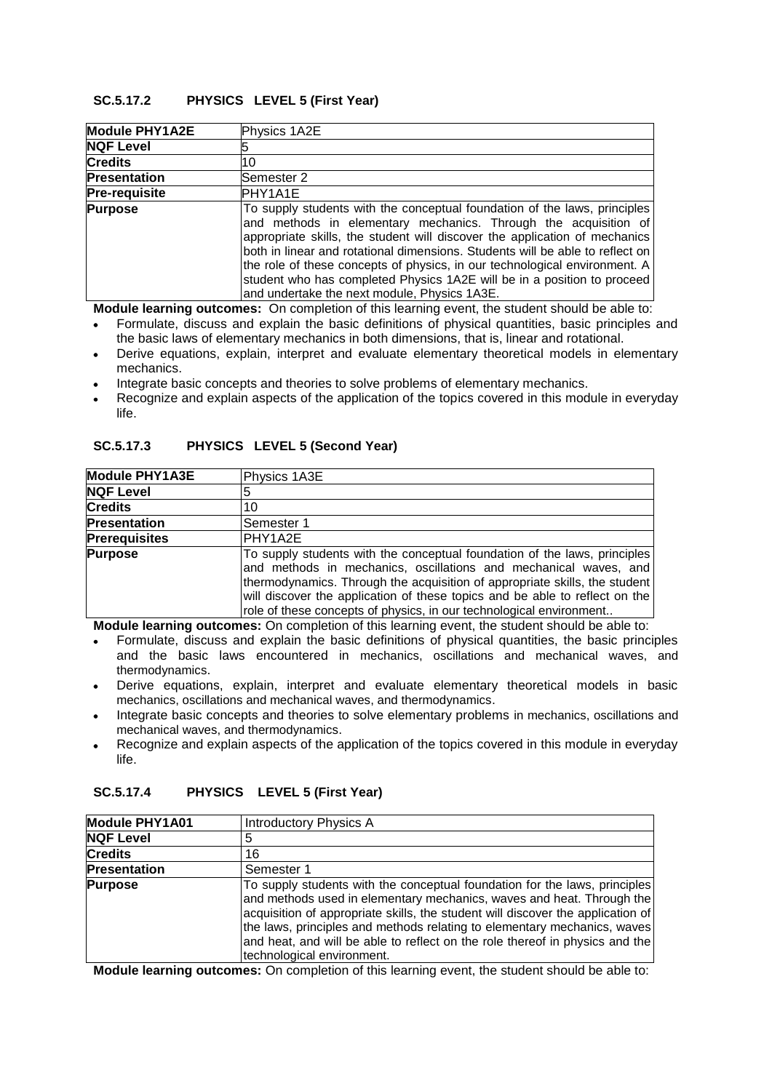# **SC.5.17.2 PHYSICS LEVEL 5 (First Year)**

| Module PHY1A2E       | Physics 1A2E                                                                                                                                                                                                                                                                                                                                                                                                                                                                                                         |
|----------------------|----------------------------------------------------------------------------------------------------------------------------------------------------------------------------------------------------------------------------------------------------------------------------------------------------------------------------------------------------------------------------------------------------------------------------------------------------------------------------------------------------------------------|
| <b>NQF Level</b>     |                                                                                                                                                                                                                                                                                                                                                                                                                                                                                                                      |
| <b>Credits</b>       | 10                                                                                                                                                                                                                                                                                                                                                                                                                                                                                                                   |
| <b>Presentation</b>  | lSemester 2                                                                                                                                                                                                                                                                                                                                                                                                                                                                                                          |
| <b>Pre-requisite</b> | PHY1A1E                                                                                                                                                                                                                                                                                                                                                                                                                                                                                                              |
| <b>Purpose</b>       | To supply students with the conceptual foundation of the laws, principles<br>and methods in elementary mechanics. Through the acquisition of<br>appropriate skills, the student will discover the application of mechanics<br>both in linear and rotational dimensions. Students will be able to reflect on<br>the role of these concepts of physics, in our technological environment. A<br>student who has completed Physics 1A2E will be in a position to proceed<br>and undertake the next module, Physics 1A3E. |

**Module learning outcomes:** On completion of this learning event, the student should be able to:

- Formulate, discuss and explain the basic definitions of physical quantities, basic principles and the basic laws of elementary mechanics in both dimensions, that is, linear and rotational.
- Derive equations, explain, interpret and evaluate elementary theoretical models in elementary mechanics.
- Integrate basic concepts and theories to solve problems of elementary mechanics.
- Recognize and explain aspects of the application of the topics covered in this module in everyday life.

| Module PHY1A3E       | Physics 1A3E                                                                                                                                                                                                                                                                                                                                                                      |
|----------------------|-----------------------------------------------------------------------------------------------------------------------------------------------------------------------------------------------------------------------------------------------------------------------------------------------------------------------------------------------------------------------------------|
| <b>NQF Level</b>     |                                                                                                                                                                                                                                                                                                                                                                                   |
| <b>Credits</b>       | 10                                                                                                                                                                                                                                                                                                                                                                                |
| <b>Presentation</b>  | Semester 1                                                                                                                                                                                                                                                                                                                                                                        |
| <b>Prerequisites</b> | PHY1A2E                                                                                                                                                                                                                                                                                                                                                                           |
| <b>Purpose</b>       | To supply students with the conceptual foundation of the laws, principles<br>and methods in mechanics, oscillations and mechanical waves, and<br>thermodynamics. Through the acquisition of appropriate skills, the student<br>will discover the application of these topics and be able to reflect on the<br>role of these concepts of physics, in our technological environment |

#### **SC.5.17.3 PHYSICS LEVEL 5 (Second Year)**

**Module learning outcomes:** On completion of this learning event, the student should be able to:

- Formulate, discuss and explain the basic definitions of physical quantities, the basic principles  $\bullet$ and the basic laws encountered in mechanics, oscillations and mechanical waves, and thermodynamics.
- Derive equations, explain, interpret and evaluate elementary theoretical models in basic mechanics, oscillations and mechanical waves, and thermodynamics.
- Integrate basic concepts and theories to solve elementary problems in mechanics, oscillations and mechanical waves, and thermodynamics.
- Recognize and explain aspects of the application of the topics covered in this module in everyday life.

| <b>Module PHY1A01</b> | <b>Introductory Physics A</b>                                                                                                                                                                                                                                                                                                                                                                                                    |
|-----------------------|----------------------------------------------------------------------------------------------------------------------------------------------------------------------------------------------------------------------------------------------------------------------------------------------------------------------------------------------------------------------------------------------------------------------------------|
| <b>NQF Level</b>      |                                                                                                                                                                                                                                                                                                                                                                                                                                  |
| <b>Credits</b>        | 16                                                                                                                                                                                                                                                                                                                                                                                                                               |
| <b>Presentation</b>   | Semester 1                                                                                                                                                                                                                                                                                                                                                                                                                       |
| <b>Purpose</b>        | To supply students with the conceptual foundation for the laws, principles<br>and methods used in elementary mechanics, waves and heat. Through the<br>acquisition of appropriate skills, the student will discover the application of<br>the laws, principles and methods relating to elementary mechanics, waves<br>and heat, and will be able to reflect on the role thereof in physics and the<br>technological environment. |

### **SC.5.17.4 PHYSICS LEVEL 5 (First Year)**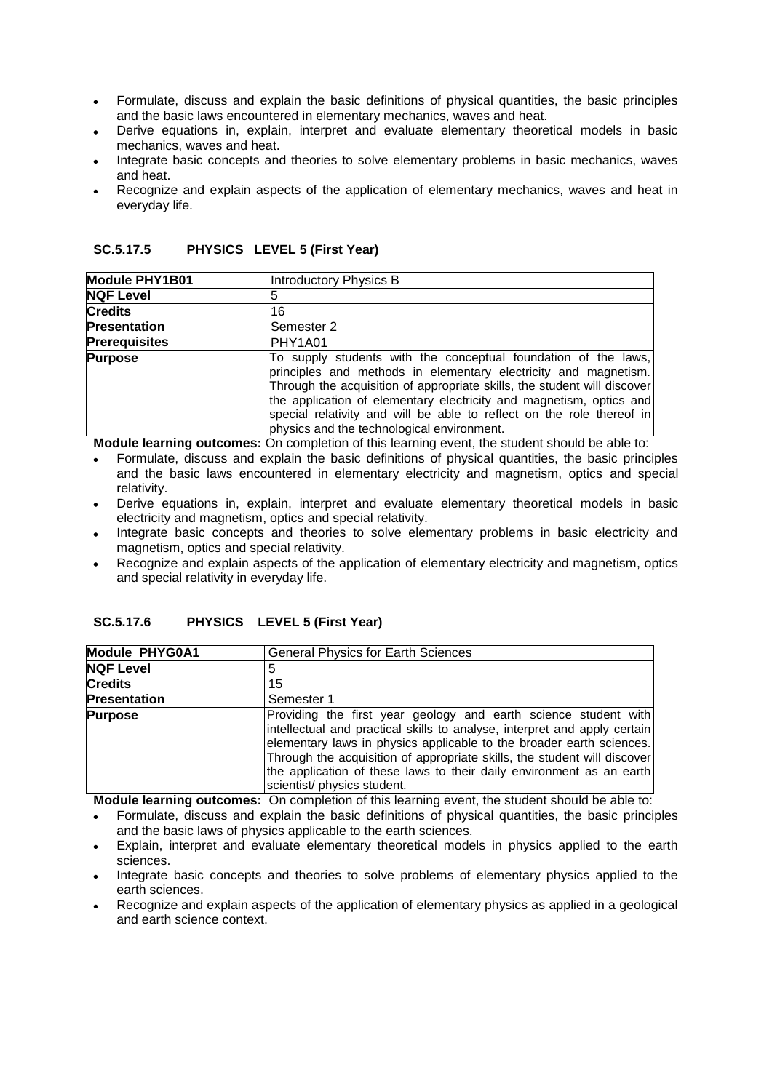- Formulate, discuss and explain the basic definitions of physical quantities, the basic principles and the basic laws encountered in elementary mechanics, waves and heat.
- Derive equations in, explain, interpret and evaluate elementary theoretical models in basic  $\bullet$ mechanics, waves and heat.
- Integrate basic concepts and theories to solve elementary problems in basic mechanics, waves and heat.
- Recognize and explain aspects of the application of elementary mechanics, waves and heat in everyday life.

| <b>Module PHY1B01</b> | Introductory Physics B                                                                                                                                                                                                                                                                                                                                                                                      |
|-----------------------|-------------------------------------------------------------------------------------------------------------------------------------------------------------------------------------------------------------------------------------------------------------------------------------------------------------------------------------------------------------------------------------------------------------|
| NQF Level             | 5                                                                                                                                                                                                                                                                                                                                                                                                           |
| <b>Credits</b>        | 16                                                                                                                                                                                                                                                                                                                                                                                                          |
| <b>Presentation</b>   | Semester 2                                                                                                                                                                                                                                                                                                                                                                                                  |
| <b>Prerequisites</b>  | PHY1A01                                                                                                                                                                                                                                                                                                                                                                                                     |
| <b>Purpose</b>        | To supply students with the conceptual foundation of the laws,<br>principles and methods in elementary electricity and magnetism.<br>Through the acquisition of appropriate skills, the student will discover<br>the application of elementary electricity and magnetism, optics and<br>special relativity and will be able to reflect on the role thereof in<br>physics and the technological environment. |

### **SC.5.17.5 PHYSICS LEVEL 5 (First Year)**

**Module learning outcomes:** On completion of this learning event, the student should be able to:

- Formulate, discuss and explain the basic definitions of physical quantities, the basic principles and the basic laws encountered in elementary electricity and magnetism, optics and special relativity.
- Derive equations in, explain, interpret and evaluate elementary theoretical models in basic electricity and magnetism, optics and special relativity.
- Integrate basic concepts and theories to solve elementary problems in basic electricity and magnetism, optics and special relativity.
- Recognize and explain aspects of the application of elementary electricity and magnetism, optics and special relativity in everyday life.

| SC.5.17.6 |  | PHYSICS LEVEL 5 (First Year) |
|-----------|--|------------------------------|
|-----------|--|------------------------------|

| Module PHYG0A1      | <b>General Physics for Earth Sciences</b>                                                                                                                                                                                                                                                                                                                                                               |
|---------------------|---------------------------------------------------------------------------------------------------------------------------------------------------------------------------------------------------------------------------------------------------------------------------------------------------------------------------------------------------------------------------------------------------------|
| <b>NQF Level</b>    | 5                                                                                                                                                                                                                                                                                                                                                                                                       |
| <b>Credits</b>      | 15                                                                                                                                                                                                                                                                                                                                                                                                      |
| <b>Presentation</b> | Semester 1                                                                                                                                                                                                                                                                                                                                                                                              |
| <b>Purpose</b>      | Providing the first year geology and earth science student with<br>intellectual and practical skills to analyse, interpret and apply certain<br>elementary laws in physics applicable to the broader earth sciences.<br>Through the acquisition of appropriate skills, the student will discover<br>the application of these laws to their daily environment as an earth<br>scientist/ physics student. |
| --                  | .<br>$\sim$ $\sim$ $\sim$ $\sim$                                                                                                                                                                                                                                                                                                                                                                        |

- Formulate, discuss and explain the basic definitions of physical quantities, the basic principles and the basic laws of physics applicable to the earth sciences.
- Explain, interpret and evaluate elementary theoretical models in physics applied to the earth sciences.
- Integrate basic concepts and theories to solve problems of elementary physics applied to the earth sciences.
- Recognize and explain aspects of the application of elementary physics as applied in a geological and earth science context.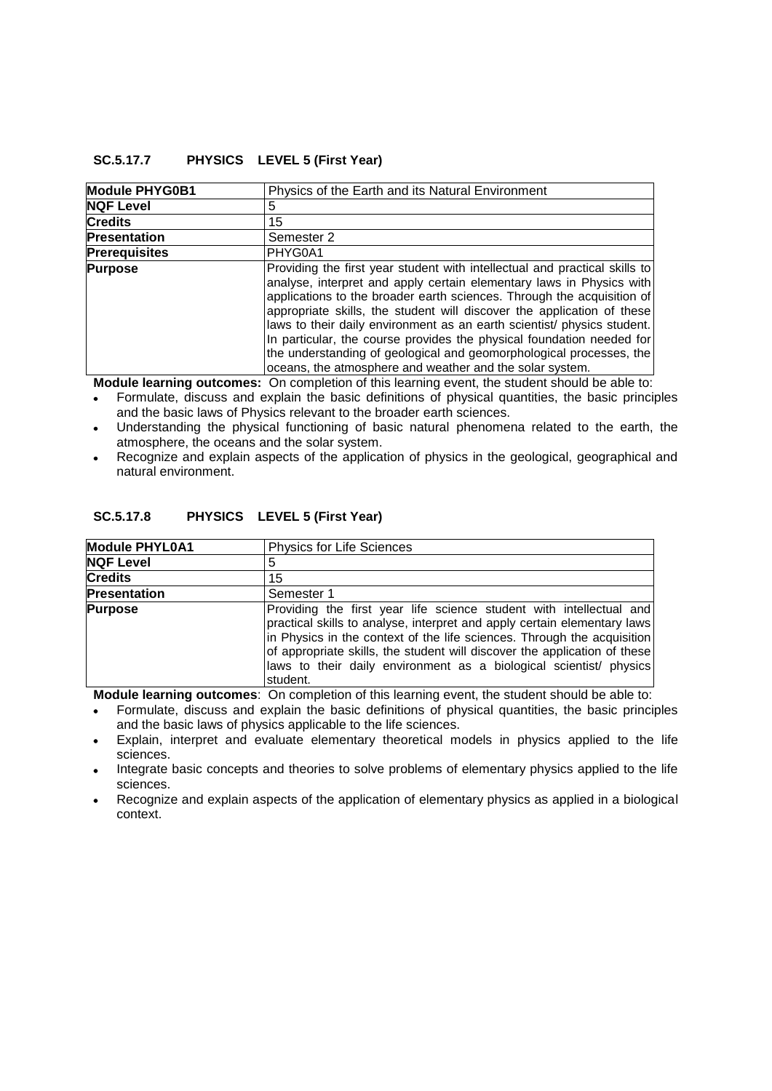### **SC.5.17.7 PHYSICS LEVEL 5 (First Year)**

| Module PHYG0B1       | Physics of the Earth and its Natural Environment                                                                                                                                                                                                                                                                                                                                                                                                                                                                                                                                              |
|----------------------|-----------------------------------------------------------------------------------------------------------------------------------------------------------------------------------------------------------------------------------------------------------------------------------------------------------------------------------------------------------------------------------------------------------------------------------------------------------------------------------------------------------------------------------------------------------------------------------------------|
| <b>NQF Level</b>     | 5                                                                                                                                                                                                                                                                                                                                                                                                                                                                                                                                                                                             |
| <b>Credits</b>       | 15                                                                                                                                                                                                                                                                                                                                                                                                                                                                                                                                                                                            |
| Presentation         | Semester 2                                                                                                                                                                                                                                                                                                                                                                                                                                                                                                                                                                                    |
| <b>Prerequisites</b> | PHYG0A1                                                                                                                                                                                                                                                                                                                                                                                                                                                                                                                                                                                       |
| <b>Purpose</b>       | Providing the first year student with intellectual and practical skills to<br>analyse, interpret and apply certain elementary laws in Physics with<br>applications to the broader earth sciences. Through the acquisition of<br>appropriate skills, the student will discover the application of these<br>laws to their daily environment as an earth scientist/ physics student.<br>In particular, the course provides the physical foundation needed for<br>the understanding of geological and geomorphological processes, the<br>oceans, the atmosphere and weather and the solar system. |

**Module learning outcomes:** On completion of this learning event, the student should be able to:

- Formulate, discuss and explain the basic definitions of physical quantities, the basic principles and the basic laws of Physics relevant to the broader earth sciences.
- Understanding the physical functioning of basic natural phenomena related to the earth, the atmosphere, the oceans and the solar system.
- Recognize and explain aspects of the application of physics in the geological, geographical and natural environment.

## **SC.5.17.8 PHYSICS LEVEL 5 (First Year)**

| <b>Module PHYL0A1</b> | <b>Physics for Life Sciences</b>                                                                                                                                                                                                                                                                                                                                                          |
|-----------------------|-------------------------------------------------------------------------------------------------------------------------------------------------------------------------------------------------------------------------------------------------------------------------------------------------------------------------------------------------------------------------------------------|
| <b>NQF Level</b>      | 5                                                                                                                                                                                                                                                                                                                                                                                         |
| <b>Credits</b>        | 15                                                                                                                                                                                                                                                                                                                                                                                        |
| <b>Presentation</b>   | Semester 1                                                                                                                                                                                                                                                                                                                                                                                |
| <b>Purpose</b>        | Providing the first year life science student with intellectual and<br>practical skills to analyse, interpret and apply certain elementary laws<br>in Physics in the context of the life sciences. Through the acquisition<br>of appropriate skills, the student will discover the application of these<br>laws to their daily environment as a biological scientist/ physics<br>student. |

- Formulate, discuss and explain the basic definitions of physical quantities, the basic principles and the basic laws of physics applicable to the life sciences.
- Explain, interpret and evaluate elementary theoretical models in physics applied to the life sciences.
- Integrate basic concepts and theories to solve problems of elementary physics applied to the life sciences.
- Recognize and explain aspects of the application of elementary physics as applied in a biological context.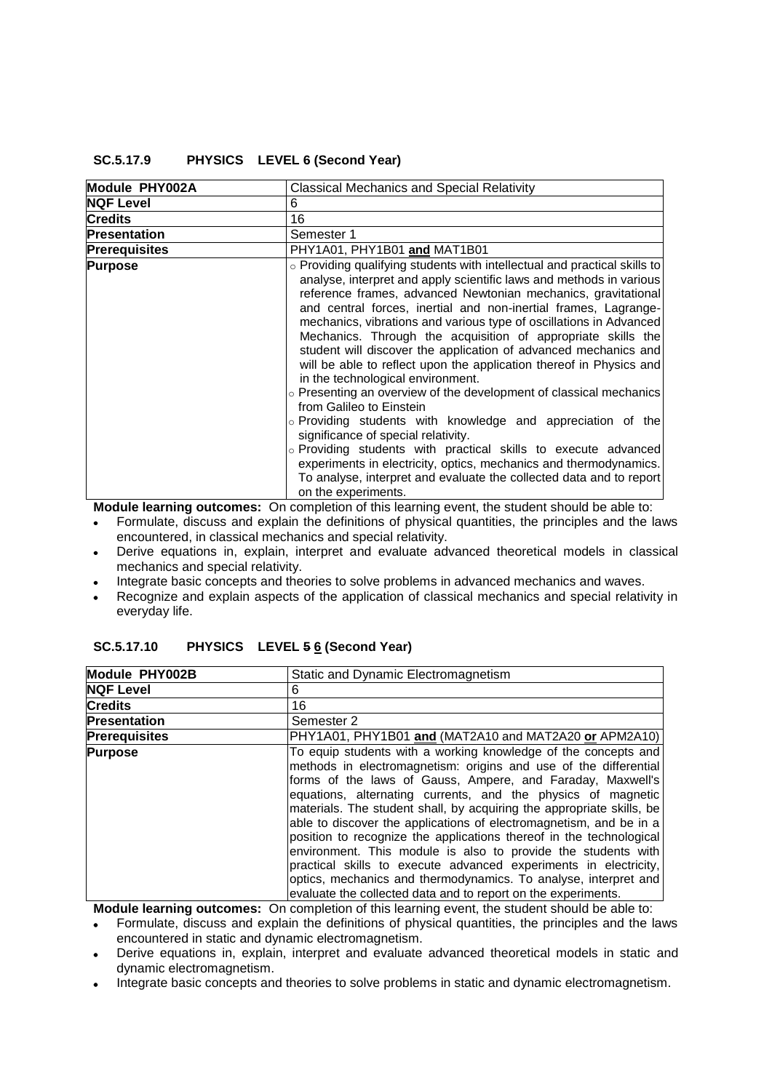### **SC.5.17.9 PHYSICS LEVEL 6 (Second Year)**

| Module PHY002A       | <b>Classical Mechanics and Special Relativity</b>                                                                                                                                                                                                                                                                                                                                                                                                                                                                                                                                                                                                                                                                                                                                                                                                                                                                                                                                                                                                                  |
|----------------------|--------------------------------------------------------------------------------------------------------------------------------------------------------------------------------------------------------------------------------------------------------------------------------------------------------------------------------------------------------------------------------------------------------------------------------------------------------------------------------------------------------------------------------------------------------------------------------------------------------------------------------------------------------------------------------------------------------------------------------------------------------------------------------------------------------------------------------------------------------------------------------------------------------------------------------------------------------------------------------------------------------------------------------------------------------------------|
| <b>NQF Level</b>     | 6                                                                                                                                                                                                                                                                                                                                                                                                                                                                                                                                                                                                                                                                                                                                                                                                                                                                                                                                                                                                                                                                  |
| <b>Credits</b>       | 16                                                                                                                                                                                                                                                                                                                                                                                                                                                                                                                                                                                                                                                                                                                                                                                                                                                                                                                                                                                                                                                                 |
| <b>Presentation</b>  | Semester 1                                                                                                                                                                                                                                                                                                                                                                                                                                                                                                                                                                                                                                                                                                                                                                                                                                                                                                                                                                                                                                                         |
| <b>Prerequisites</b> | PHY1A01, PHY1B01 and MAT1B01                                                                                                                                                                                                                                                                                                                                                                                                                                                                                                                                                                                                                                                                                                                                                                                                                                                                                                                                                                                                                                       |
| <b>Purpose</b>       | ○ Providing qualifying students with intellectual and practical skills to<br>analyse, interpret and apply scientific laws and methods in various<br>reference frames, advanced Newtonian mechanics, gravitational<br>and central forces, inertial and non-inertial frames, Lagrange-<br>mechanics, vibrations and various type of oscillations in Advanced<br>Mechanics. Through the acquisition of appropriate skills the<br>student will discover the application of advanced mechanics and<br>will be able to reflect upon the application thereof in Physics and<br>in the technological environment.<br>$\circ$ Presenting an overview of the development of classical mechanics<br>from Galileo to Einstein<br>$\circ$ Providing students with knowledge and appreciation of the<br>significance of special relativity.<br>o Providing students with practical skills to execute advanced<br>experiments in electricity, optics, mechanics and thermodynamics.<br>To analyse, interpret and evaluate the collected data and to report<br>on the experiments. |

**Module learning outcomes:** On completion of this learning event, the student should be able to:

- Formulate, discuss and explain the definitions of physical quantities, the principles and the laws encountered, in classical mechanics and special relativity.
- Derive equations in, explain, interpret and evaluate advanced theoretical models in classical mechanics and special relativity.
- Integrate basic concepts and theories to solve problems in advanced mechanics and waves.
- Recognize and explain aspects of the application of classical mechanics and special relativity in  $\bullet$ everyday life.

| Module PHY002B       | Static and Dynamic Electromagnetism                                                                                                                                                                                                                                                                                                                                                                                                                                                                                                                                                                                                                                                                                                                             |
|----------------------|-----------------------------------------------------------------------------------------------------------------------------------------------------------------------------------------------------------------------------------------------------------------------------------------------------------------------------------------------------------------------------------------------------------------------------------------------------------------------------------------------------------------------------------------------------------------------------------------------------------------------------------------------------------------------------------------------------------------------------------------------------------------|
| <b>NQF Level</b>     | 6                                                                                                                                                                                                                                                                                                                                                                                                                                                                                                                                                                                                                                                                                                                                                               |
| <b>Credits</b>       | 16                                                                                                                                                                                                                                                                                                                                                                                                                                                                                                                                                                                                                                                                                                                                                              |
| <b>Presentation</b>  | Semester 2                                                                                                                                                                                                                                                                                                                                                                                                                                                                                                                                                                                                                                                                                                                                                      |
| <b>Prerequisites</b> | PHY1A01, PHY1B01 and (MAT2A10 and MAT2A20 or APM2A10)                                                                                                                                                                                                                                                                                                                                                                                                                                                                                                                                                                                                                                                                                                           |
| <b>Purpose</b>       | To equip students with a working knowledge of the concepts and<br>methods in electromagnetism: origins and use of the differential<br>forms of the laws of Gauss, Ampere, and Faraday, Maxwell's<br>equations, alternating currents, and the physics of magnetic<br>materials. The student shall, by acquiring the appropriate skills, be<br>able to discover the applications of electromagnetism, and be in a<br>position to recognize the applications thereof in the technological<br>environment. This module is also to provide the students with<br>practical skills to execute advanced experiments in electricity,<br>optics, mechanics and thermodynamics. To analyse, interpret and<br>evaluate the collected data and to report on the experiments. |

| SC.5.17.10 | PHYSICS LEVEL 5 6 (Second Year) |
|------------|---------------------------------|
|            |                                 |

**Module learning outcomes:** On completion of this learning event, the student should be able to:

Formulate, discuss and explain the definitions of physical quantities, the principles and the laws  $\bullet$ encountered in static and dynamic electromagnetism.

- Derive equations in, explain, interpret and evaluate advanced theoretical models in static and dynamic electromagnetism.
- Integrate basic concepts and theories to solve problems in static and dynamic electromagnetism.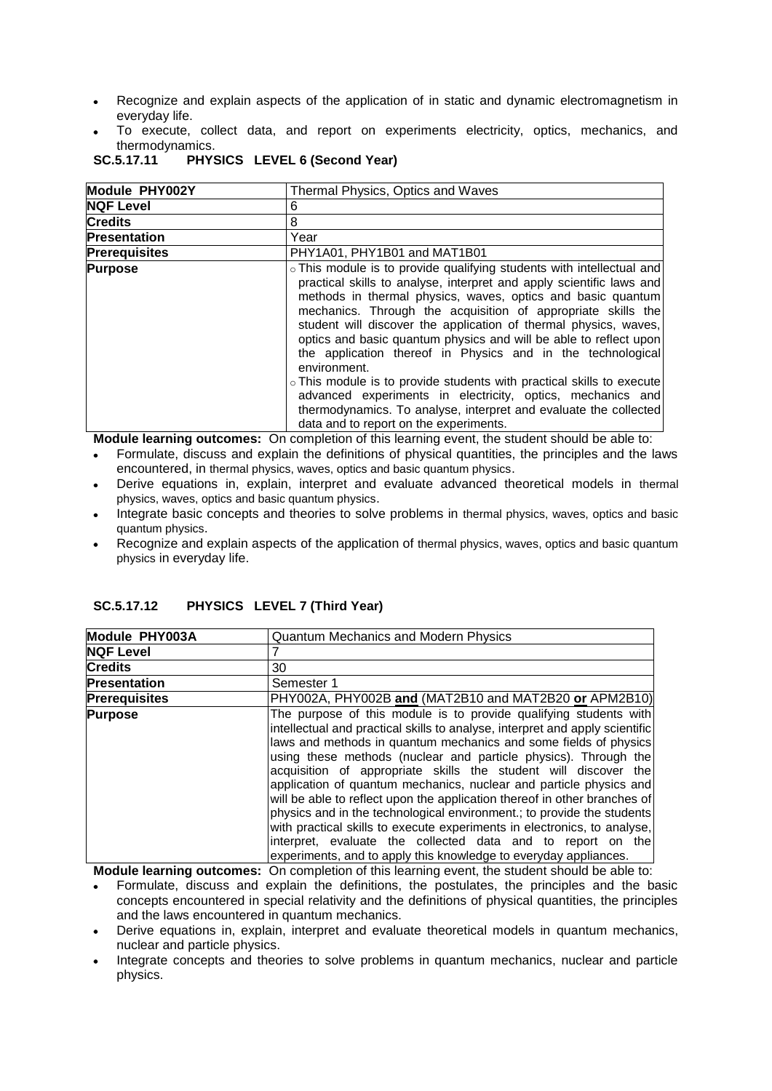- Recognize and explain aspects of the application of in static and dynamic electromagnetism in everyday life.
- To execute, collect data, and report on experiments electricity, optics, mechanics, and thermodynamics.

| SC.5.17.11<br>PHYSICS LEVEL 6 (Second Year) |  |
|---------------------------------------------|--|
|---------------------------------------------|--|

| Module PHY002Y       | Thermal Physics, Optics and Waves                                                                                                                                                                                                                                                                                                                                                                                                                                                                                                                                                                                                                                                                                                                         |
|----------------------|-----------------------------------------------------------------------------------------------------------------------------------------------------------------------------------------------------------------------------------------------------------------------------------------------------------------------------------------------------------------------------------------------------------------------------------------------------------------------------------------------------------------------------------------------------------------------------------------------------------------------------------------------------------------------------------------------------------------------------------------------------------|
| <b>NQF Level</b>     | 6                                                                                                                                                                                                                                                                                                                                                                                                                                                                                                                                                                                                                                                                                                                                                         |
| <b>Credits</b>       | 8                                                                                                                                                                                                                                                                                                                                                                                                                                                                                                                                                                                                                                                                                                                                                         |
| <b>Presentation</b>  | Year                                                                                                                                                                                                                                                                                                                                                                                                                                                                                                                                                                                                                                                                                                                                                      |
| <b>Prerequisites</b> | PHY1A01, PHY1B01 and MAT1B01                                                                                                                                                                                                                                                                                                                                                                                                                                                                                                                                                                                                                                                                                                                              |
| <b>Purpose</b>       | • This module is to provide qualifying students with intellectual and<br>practical skills to analyse, interpret and apply scientific laws and<br>methods in thermal physics, waves, optics and basic quantum<br>mechanics. Through the acquisition of appropriate skills the<br>student will discover the application of thermal physics, waves,<br>optics and basic quantum physics and will be able to reflect upon<br>the application thereof in Physics and in the technological<br>environment.<br>o This module is to provide students with practical skills to execute<br>advanced experiments in electricity, optics, mechanics and<br>thermodynamics. To analyse, interpret and evaluate the collected<br>data and to report on the experiments. |

**Module learning outcomes:** On completion of this learning event, the student should be able to:

- Formulate, discuss and explain the definitions of physical quantities, the principles and the laws encountered, in thermal physics, waves, optics and basic quantum physics.
- Derive equations in, explain, interpret and evaluate advanced theoretical models in thermal physics, waves, optics and basic quantum physics.
- Integrate basic concepts and theories to solve problems in thermal physics, waves, optics and basic quantum physics.
- Recognize and explain aspects of the application of thermal physics, waves, optics and basic quantum physics in everyday life.

| SC.5.17.12 |  | PHYSICS LEVEL 7 (Third Year) |
|------------|--|------------------------------|
|            |  |                              |

| Module PHY003A       | <b>Quantum Mechanics and Modern Physics</b>                                                                                                                                                                                                                                                                                                                                                                                                                                                                                                                                                                                                                                                                                                                                                             |
|----------------------|---------------------------------------------------------------------------------------------------------------------------------------------------------------------------------------------------------------------------------------------------------------------------------------------------------------------------------------------------------------------------------------------------------------------------------------------------------------------------------------------------------------------------------------------------------------------------------------------------------------------------------------------------------------------------------------------------------------------------------------------------------------------------------------------------------|
| <b>NQF Level</b>     |                                                                                                                                                                                                                                                                                                                                                                                                                                                                                                                                                                                                                                                                                                                                                                                                         |
| <b>Credits</b>       | 30                                                                                                                                                                                                                                                                                                                                                                                                                                                                                                                                                                                                                                                                                                                                                                                                      |
| <b>Presentation</b>  | Semester 1                                                                                                                                                                                                                                                                                                                                                                                                                                                                                                                                                                                                                                                                                                                                                                                              |
| <b>Prerequisites</b> | PHY002A, PHY002B and (MAT2B10 and MAT2B20 or APM2B10)                                                                                                                                                                                                                                                                                                                                                                                                                                                                                                                                                                                                                                                                                                                                                   |
| <b>Purpose</b>       | The purpose of this module is to provide qualifying students with<br>intellectual and practical skills to analyse, interpret and apply scientific<br>laws and methods in quantum mechanics and some fields of physics<br>using these methods (nuclear and particle physics). Through the<br>acquisition of appropriate skills the student will discover the<br>application of quantum mechanics, nuclear and particle physics and<br>will be able to reflect upon the application thereof in other branches of<br>physics and in the technological environment.; to provide the students<br>with practical skills to execute experiments in electronics, to analyse,<br>interpret, evaluate the collected data and to report on the<br>experiments, and to apply this knowledge to everyday appliances. |

- Formulate, discuss and explain the definitions, the postulates, the principles and the basic concepts encountered in special relativity and the definitions of physical quantities, the principles and the laws encountered in quantum mechanics.
- Derive equations in, explain, interpret and evaluate theoretical models in quantum mechanics, nuclear and particle physics.
- Integrate concepts and theories to solve problems in quantum mechanics, nuclear and particle physics.